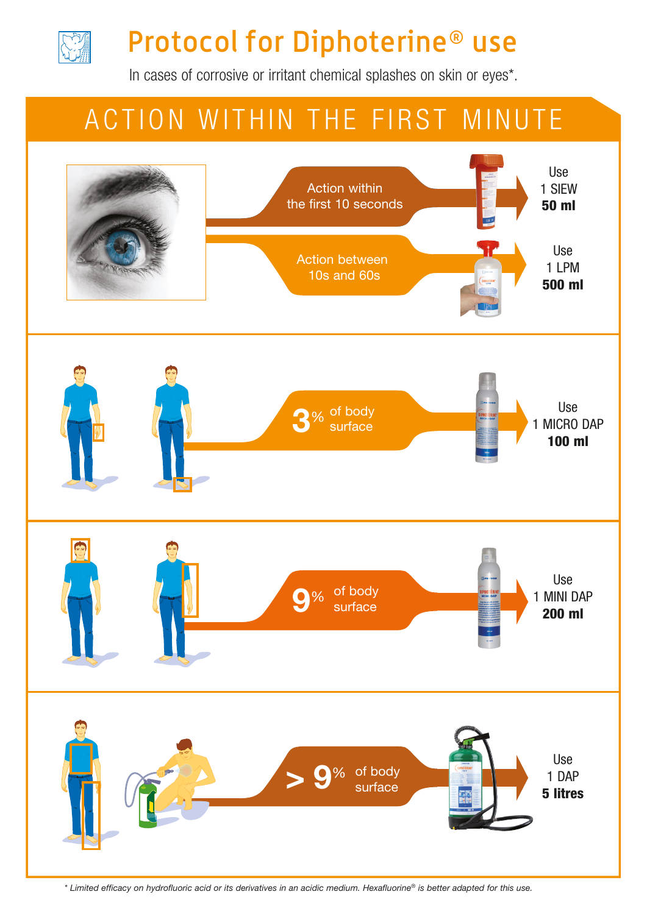

# Protocol for Diphoterine® use

In cases of corrosive or irritant chemical splashes on skin or eyes\*.

## ACTION WITHIN THE FIRST MINUTE



*\* Limited efficacy on hydrofluoric acid or its derivatives in an acidic medium. Hexafluorine® is better adapted for this use.*